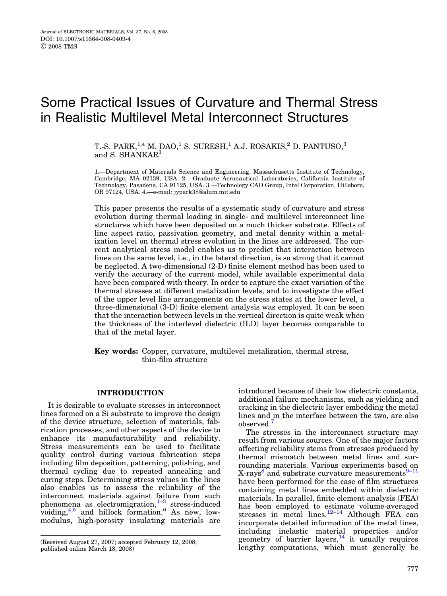T.-S. PARK, $^{1,4}$  M. DAO, $^1$  S. SURESH, $^1$  A.J. ROSAKIS, $^2$  D. PANTUSO, $^3$ and S. SHANKAR<sup>3</sup>

1.—Department of Materials Science and Engineering, Massachusetts Institute of Technology, Cambridge, MA 02139, USA. 2.—Graduate Aeronautical Laboratories, California Institute of Technology, Pasadena, CA 91125, USA. 3.—Technology CAD Group, Intel Corporation, Hillsboro, OR 97124, USA. 4.—e-mail: jypark38@alum.mit.edu

This paper presents the results of a systematic study of curvature and stress evolution during thermal loading in single- and multilevel interconnect line structures which have been deposited on a much thicker substrate. Effects of line aspect ratio, passivation geometry, and metal density within a metalization level on thermal stress evolution in the lines are addressed. The current analytical stress model enables us to predict that interaction between lines on the same level, i.e., in the lateral direction, is so strong that it cannot be neglected. A two-dimensional (2-D) finite element method has been used to verify the accuracy of the current model, while available experimental data have been compared with theory. In order to capture the exact variation of the thermal stresses at different metalization levels, and to investigate the effect of the upper level line arrangements on the stress states at the lower level, a three-dimensional (3-D) finite element analysis was employed. It can be seen that the interaction between levels in the vertical direction is quite weak when the thickness of the interlevel dielectric (ILD) layer becomes comparable to that of the metal layer.

Key words: Copper, curvature, multilevel metalization, thermal stress, thin-film structure

# INTRODUCTION

It is desirable to evaluate stresses in interconnect lines formed on a Si substrate to improve the design of the device structure, selection of materials, fabrication processes, and other aspects of the device to enhance its manufacturability and reliability. Stress measurements can be used to facilitate quality control during various fabrication steps including film deposition, patterning, polishing, and thermal cycling due to repeated annealing and curing steps. Determining stress values in the lines also enables us to assess the reliability of the interconnect materials against failure from such phenomena as electromigration, $1-3$  stress-induced voiding,  $4.5$  and hillock formation. As new, lowmodulus, high-porosity insulating materials are

introduced because of their low dielectric constants, additional failure mechanisms, such as yielding and cracking in the dielectric layer embedding the metal lines and in the interface between the two, are also observed.<sup>[7](#page-14-0)</sup>

The stresses in the interconnect structure may result from various sources. One of the major factors affecting reliability stems from stresses produced by thermal mismatch between metal lines and surrounding materials. Various experiments based on X-rays<sup>[8](#page-14-0)</sup> and substrate curvature measurements<sup>9-11</sup> have been performed for the case of film structures containing metal lines embedded within dielectric materials. In parallel, finite element analysis (FEA) has been employed to estimate volume-averaged stresses in metal lines.<sup>12-14</sup> Although FEA can incorporate detailed information of the metal lines, including inelastic material properties and/or geometry of barrier layers, $14$  it usually requires Received August 27, 2007; accepted February 12, 2008; entermined all property of barrier layers,<sup>21</sup> it usually requires (Received August 27, 2008)<br>(Received August 27, 2008) enterprise immunitions, which must generally be

published online March 18, 2008)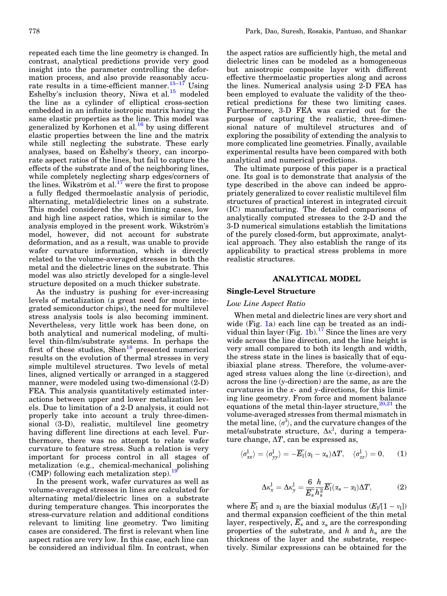repeated each time the line geometry is changed. In contrast, analytical predictions provide very good insight into the parameter controlling the deformation process, and also provide reasonably accurate results in a time-efficient manner.<sup>15-17</sup> Using Eshelby's inclusion theory, Niwa et al.<sup>[15](#page-14-0)</sup> modeled the line as a cylinder of elliptical cross-section embedded in an infinite isotropic matrix having the same elastic properties as the line. This model was generalized by Korhonen et al[.16](#page-14-0) by using different elastic properties between the line and the matrix while still neglecting the substrate. These early analyses, based on Eshelby's theory, can incorporate aspect ratios of the lines, but fail to capture the effects of the substrate and of the neighboring lines, while completely neglecting sharp edges/corners of the lines. Wikström et al.<sup>17</sup> were the first to propose a fully fledged thermoelastic analysis of periodic, alternating, metal/dielectric lines on a substrate. This model considered the two limiting cases, low and high line aspect ratios, which is similar to the analysis employed in the present work. Wikström's model, however, did not account for substrate deformation, and as a result, was unable to provide wafer curvature information, which is directly related to the volume-averaged stresses in both the metal and the dielectric lines on the substrate. This model was also strictly developed for a single-level structure deposited on a much thicker substrate.

As the industry is pushing for ever-increasing levels of metalization (a great need for more integrated semiconductor chips), the need for multilevel stress analysis tools is also becoming imminent. Nevertheless, very little work has been done, on both analytical and numerical modeling, of multilevel thin-film/substrate systems. In perhaps the first of these studies,  $Shen^{18}$  $Shen^{18}$  $Shen^{18}$  presented numerical results on the evolution of thermal stresses in very simple multilevel structures. Two levels of metal lines, aligned vertically or arranged in a staggered manner, were modeled using two-dimensional (2-D) FEA. This analysis quantitatively estimated interactions between upper and lower metalization levels. Due to limitation of a 2-D analysis, it could not properly take into account a truly three-dimensional (3-D), realistic, multilevel line geometry having different line directions at each level. Furthermore, there was no attempt to relate wafer curvature to feature stress. Such a relation is very important for process control in all stages of metalization (e.g., chemical-mechanical polishing (CMP) following each metalization step).<sup>1</sup>

In the present work, wafer curvatures as well as volume-averaged stresses in lines are calculated for alternating metal/dielectric lines on a substrate during temperature changes. This incorporates the stress-curvature relation and additional conditions relevant to limiting line geometry. Two limiting cases are considered. The first is relevant when line aspect ratios are very low. In this case, each line can be considered an individual film. In contrast, when

the aspect ratios are sufficiently high, the metal and dielectric lines can be modeled as a homogeneous but anisotropic composite layer with different effective thermoelastic properties along and across the lines. Numerical analysis using 2-D FEA has been employed to evaluate the validity of the theoretical predictions for these two limiting cases. Furthermore, 3-D FEA was carried out for the purpose of capturing the realistic, three-dimensional nature of multilevel structures and of exploring the possibility of extending the analysis to more complicated line geometries. Finally, available experimental results have been compared with both analytical and numerical predictions.

The ultimate purpose of this paper is a practical one. Its goal is to demonstrate that analysis of the type described in the above can indeed be appropriately generalized to cover realistic multilevel film structures of practical interest in integrated circuit (IC) manufacturing. The detailed comparisons of analytically computed stresses to the 2-D and the 3-D numerical simulations establish the limitations of the purely closed-form, but approximate, analytical approach. They also establish the range of its applicability to practical stress problems in more realistic structures.

## ANALYTICAL MODEL

# Single-Level Structure

# Low Line Aspect Ratio

When metal and dielectric lines are very short and wide (Fig. [1](#page-2-0)a) each line can be treated as an indi-vidual thin layer (Fig. [1b](#page-2-0)).<sup>[17](#page-14-0)</sup> Since the lines are very wide across the line direction, and the line height is very small compared to both its length and width, the stress state in the lines is basically that of equibiaxial plane stress. Therefore, the volume-averaged stress values along the line  $(x\text{-direction})$ , and across the line (y-direction) are the same, as are the curvatures in the  $x$ - and  $y$ -directions, for this limiting line geometry. From force and moment balance equations of the metal thin-layer structure,  $20,21$  the volume-averaged stresses from thermal mismatch in the metal line,  $\langle \sigma^{\rm l} \rangle$ , and the curvature changes of the metal/substrate structure,  $\Delta \kappa^l$ , during a temperature change,  $\Delta T$ , can be expressed as,

$$
\langle \sigma_{xx}^l \rangle = \langle \sigma_{yy}^l \rangle = -\overline{E_1}(\alpha_1 - \alpha_s) \Delta T, \quad \langle \sigma_{zz}^l \rangle = 0, \quad (1)
$$

$$
\Delta \kappa_x^{\rm l} = \Delta \kappa_y^{\rm l} = \frac{6}{\overline{E}_s} \frac{h}{h_s^2} \overline{E_1} (\alpha_s - \alpha_l) \Delta T, \tag{2}
$$

where  $\overline{E_1}$  and  $\alpha_1$  are the biaxial modulus  $(E_1/[1 - v_1])$ and thermal expansion coefficient of the thin metal layer, respectively,  $E_s$  and  $\alpha_s$  are the corresponding properties of the substrate, and h and  $h_s$  are the thickness of the layer and the substrate, respectively. Similar expressions can be obtained for the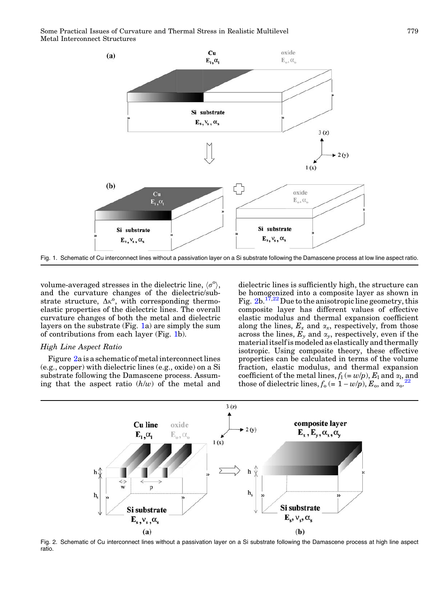<span id="page-2-0"></span>

Fig. 1. Schematic of Cu interconnect lines without a passivation layer on a Si substrate following the Damascene process at low line aspect ratio.

volume-averaged stresses in the dielectric line,  $\langle \sigma^{\rm o} \rangle$ , and the curvature changes of the dielectric/substrate structure,  $\Delta \kappa^0$ , with corresponding thermoelastic properties of the dielectric lines. The overall curvature changes of both the metal and dielectric layers on the substrate (Fig. 1a) are simply the sum of contributions from each layer (Fig. 1b).

# High Line Aspect Ratio

Figure 2a is a schematic of metal interconnect lines (e.g., copper) with dielectric lines (e.g., oxide) on a Si substrate following the Damascene process. Assuming that the aspect ratio  $(h/w)$  of the metal and dielectric lines is sufficiently high, the structure can be homogenized into a composite layer as shown in Fig.  $2b.$   $17,22$  Due to the anisotropic line geometry, this composite layer has different values of effective elastic modulus and thermal expansion coefficient along the lines,  $E_x$  and  $\alpha_x$ , respectively, from those across the lines,  $E_y$  and  $\alpha_y$ , respectively, even if the material itself is modeled as elastically and thermally isotropic. Using composite theory, these effective properties can be calculated in terms of the volume fraction, elastic modulus, and thermal expansion coefficient of the metal lines,  $f_1(= w/p)$ ,  $E_1$  and  $\alpha_1$ , and<br>those of diologized lines,  $f(-1-w/p)$ ,  $F$ , and  $\alpha_1$ ,  $\alpha_2$ those of dielectric lines,  $f_0 = 1 - w/p$ ,  $E_0$ , and  $\alpha_0$ .



Fig. 2. Schematic of Cu interconnect lines without a passivation layer on a Si substrate following the Damascene process at high line aspect ratio.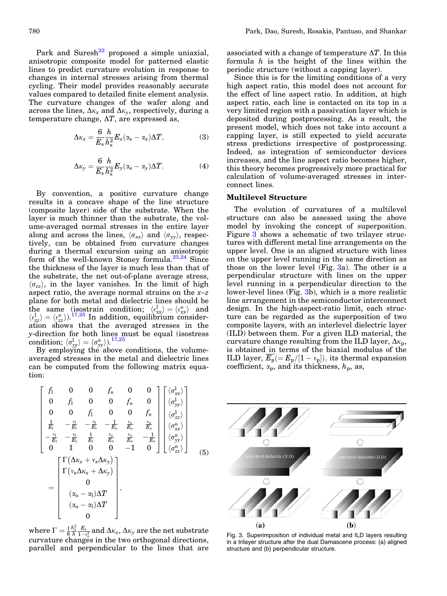<span id="page-3-0"></span>Park and Suresh<sup>[22](#page-14-0)</sup> proposed a simple uniaxial, anisotropic composite model for patterned elastic lines to predict curvature evolution in response to changes in internal stresses arising from thermal cycling. Their model provides reasonably accurate values compared to detailed finite element analysis. The curvature changes of the wafer along and across the lines,  $\Delta \kappa_x$  and  $\Delta \kappa_y$ , respectively, during a temperature change,  $\Delta T$ , are expressed as,

$$
\Delta \kappa_x = \frac{6}{E_s} \frac{h}{h_s^2} E_x (\alpha_s - \alpha_x) \Delta T, \qquad (3)
$$

$$
\Delta \kappa_{\rm y} = \frac{6}{E_{\rm s}} \frac{h}{h_{\rm s}^2} E_{\rm y} (\alpha_{\rm s} - \alpha_{\rm y}) \Delta T. \tag{4}
$$

By convention, a positive curvature change results in a concave shape of the line structure (composite layer) side of the substrate. When the layer is much thinner than the substrate, the volume-averaged normal stresses in the entire layer along and across the lines,  $\langle \sigma_{xx} \rangle$  and  $\langle \sigma_{yy} \rangle$ , respectively, can be obtained from curvature changes during a thermal excursion using an anisotropic form of the well-known Stoney formula. $^{23,24}$  Since the thickness of the layer is much less than that of the substrate, the net out-of-plane average stress,  $\langle \sigma_{zz} \rangle$ , in the layer vanishes. In the limit of high aspect ratio, the average normal strains on the  $x-z$ plane for both metal and dielectric lines should be the same (isostrain condition;  $\langle \epsilon_{xx}^l \rangle = \langle \epsilon_{xx}^o \rangle$  and  $\langle \epsilon_{zz}^l \rangle = \langle \epsilon_{zz}^o \rangle$ .<sup>[17,25](#page-14-0)</sup> In addition, equilibrium consideration shows that the averaged stresses in the y-direction for both lines must be equal (isostress  ${\rm condition};\, \langle\sigma_{\rm yy}^{\rm l}\rangle=\langle\sigma_{\rm yy}^{\rm o}\rangle).^{17,25}$  ${\rm condition};\, \langle\sigma_{\rm yy}^{\rm l}\rangle=\langle\sigma_{\rm yy}^{\rm o}\rangle).^{17,25}$  ${\rm condition};\, \langle\sigma_{\rm yy}^{\rm l}\rangle=\langle\sigma_{\rm yy}^{\rm o}\rangle).^{17,25}$ 

By employing the above conditions, the volumeaveraged stresses in the metal and dielectric lines can be computed from the following matrix equation:

$$
\begin{bmatrix}\nf_1 & 0 & 0 & f_0 & 0 & 0 \\
0 & f_1 & 0 & 0 & f_0 & 0 \\
0 & 0 & f_1 & 0 & 0 & f_0 \\
\frac{1}{E_1} & -\frac{v_1}{E_1} & -\frac{v_1}{E_1} & -\frac{1}{E_0} & \frac{v_0}{E_0} & \frac{v_0}{E_0} \\
-\frac{v_1}{E_1} & -\frac{v_1}{E_1} & \frac{1}{E_1} & \frac{v_0}{E_0} & \frac{v_0}{E_0} & -\frac{1}{E_0} \\
0 & 1 & 0 & 0 & -1 & 0\n\end{bmatrix}\n\begin{bmatrix}\n\langle \sigma_{xx}^1 \rangle \\
\langle \sigma_{zz}^1 \rangle \\
\langle \sigma_{xx}^2 \rangle \\
\langle \sigma_{yy}^0 \rangle \\
\langle \sigma_{zz}^0 \rangle \\
\langle \sigma_{zz}^0 \rangle\n\end{bmatrix}
$$
\n
$$
= \begin{bmatrix}\n\Gamma(\Delta \kappa_x + v_s \Delta \kappa_y) \\
\Gamma(v_s \Delta \kappa_x + \Delta \kappa_y) \\
0 \\
(\alpha_o - \alpha_1) \Delta T \\
(\alpha_o - \alpha_1) \Delta T \\
0\n\end{bmatrix},
$$
\n(5)

where  $\Gamma = \frac{1}{6}$  $\frac{h_{\rm s}^2}{h}\frac{E_{\rm s}}{1-\mathrm{v}_{\rm s}^2}$  and  $\Delta\kappa_{\rm x},\Delta\kappa_{\rm y}$  are the net substrate curvature changes in the two orthogonal directions, parallel and perpendicular to the lines that are associated with a change of temperature  $\Delta T$ . In this formula  $h$  is the height of the lines within the periodic structure (without a capping layer).

Since this is for the limiting conditions of a very high aspect ratio, this model does not account for the effect of line aspect ratio. In addition, at high aspect ratio, each line is contacted on its top in a very limited region with a passivation layer which is deposited during postprocessing. As a result, the present model, which does not take into account a capping layer, is still expected to yield accurate stress predictions irrespective of postprocessing. Indeed, as integration of semiconductor devices increases, and the line aspect ratio becomes higher, this theory becomes progressively more practical for calculation of volume-averaged stresses in interconnect lines.

#### Multilevel Structure

The evolution of curvatures of a multilevel structure can also be assessed using the above model by invoking the concept of superposition. Figure 3 shows a schematic of two trilayer structures with different metal line arrangements on the upper level. One is an aligned structure with lines on the upper level running in the same direction as those on the lower level (Fig.  $3a$ ). The other is a perpendicular structure with lines on the upper level running in a perpendicular direction to the lower-level lines (Fig. 3b), which is a more realistic line arrangement in the semiconductor interconnect design. In the high-aspect-ratio limit, each structure can be regarded as the superposition of two composite layers, with an interlevel dielectric layer (ILD) between them. For a given ILD material, the curvature change resulting from the ILD layer,  $\Delta \kappa_{p}$ , is obtained in terms of the biaxial modulus of the ILD layer,  $E_p(=E_p/[1-v_p])$ , its thermal expansion coefficient,  $\alpha_p$ , and its thickness,  $h_p$ , as,



Fig. 3. Superimposition of individual metal and ILD layers resulting in a trilayer structure after the dual Damascene process: (a) aligned structure and (b) perpendicular structure.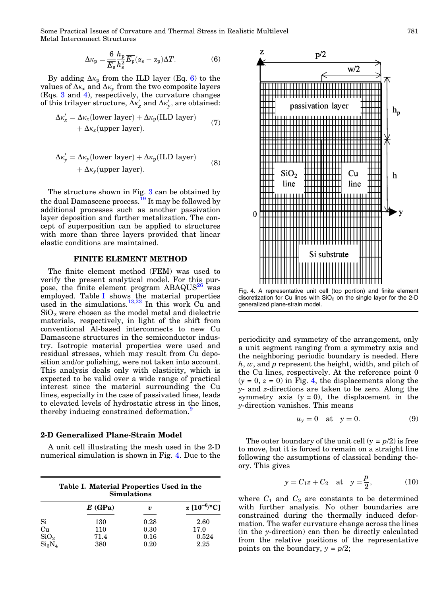$$
\Delta \kappa_{\rm p} = \frac{6}{\overline{E}_{\rm s}} \frac{h_{\rm p}}{h_{\rm s}^2} \overline{E_{\rm p}} (\alpha_{\rm s} - \alpha_{\rm p}) \Delta T. \tag{6}
$$

By adding  $\Delta \kappa_p$  from the ILD layer (Eq. 6) to the values of  $\Delta \kappa_x$  and  $\Delta \kappa_y$  from the two composite layers (Eqs. 3 and 4), respectively, the curvature changes of this trilayer structure,  $\Delta \kappa_x'$  and  $\Delta \kappa_y'$ , are obtained:

$$
\Delta \kappa'_x = \Delta \kappa_x (\text{lower layer}) + \Delta \kappa_p (\text{ILD layer}) + \Delta \kappa_x (\text{upper layer}). \tag{7}
$$

$$
\Delta \kappa'_{y} = \Delta \kappa_{y} \text{(lower layer)} + \Delta \kappa_{p} \text{(ILD layer)}+ \Delta \kappa_{y} \text{(upper layer)}.
$$
 (8)

The structure shown in Fig. [3](#page-3-0) can be obtained by the dual Damascene process.<sup>[19](#page-14-0)</sup> It may be followed by additional processes such as another passivation layer deposition and further metalization. The concept of superposition can be applied to structures with more than three layers provided that linear elastic conditions are maintained.

#### FINITE ELEMENT METHOD

The finite element method (FEM) was used to verify the present analytical model. For this pur-pose, the finite element program ABAQUS<sup>[26](#page-14-0)</sup> was employed. Table I shows the material properties used in the simulations.<sup>[13,23](#page-14-0)</sup> In this work Cu and  $SiO<sub>2</sub>$  were chosen as the model metal and dielectric materials, respectively, in light of the shift from conventional Al-based interconnects to new Cu Damascene structures in the semiconductor industry. Isotropic material properties were used and residual stresses, which may result from Cu deposition and/or polishing, were not taken into account. This analysis deals only with elasticity, which is expected to be valid over a wide range of practical interest since the material surrounding the Cu lines, especially in the case of passivated lines, leads to elevated levels of hydrostatic stress in the lines, thereby inducing constrained deformation.<sup>9</sup>

#### 2-D Generalized Plane-Strain Model

A unit cell illustrating the mesh used in the 2-D numerical simulation is shown in Fig. 4. Due to the

| Table I. Material Properties Used in the |  |
|------------------------------------------|--|
| <b>Simulations</b>                       |  |

|                  | E(GPa) | v    | $\alpha$ [10 <sup>-6</sup> /°C] |
|------------------|--------|------|---------------------------------|
| Si               | 130    | 0.28 | 2.60                            |
| Cu               | 110    | 0.30 | 17.0                            |
| SiO <sub>2</sub> | 71.4   | 0.16 | 0.524                           |
| $Si_3N_4$        | 380    | 0.20 | 2.25                            |



Fig. 4. A representative unit cell (top portion) and finite element discretization for Cu lines with  $SiO<sub>2</sub>$  on the single layer for the 2-D generalized plane-strain model.

periodicity and symmetry of the arrangement, only a unit segment ranging from a symmetry axis and the neighboring periodic boundary is needed. Here  $h, w$ , and p represent the height, width, and pitch of the Cu lines, respectively. At the reference point 0  $(y = 0, z = 0)$  in Fig. 4, the displacements along the y- and z-directions are taken to be zero. Along the symmetry axis  $(y = 0)$ , the displacement in the y-direction vanishes. This means

$$
u_y = 0 \quad \text{at} \quad y = 0. \tag{9}
$$

The outer boundary of the unit cell  $(y = p/2)$  is free to move, but it is forced to remain on a straight line following the assumptions of classical bending theory. This gives

$$
y = C_1 z + C_2
$$
 at  $y = \frac{p}{2}$ , (10)

where  $C_1$  and  $C_2$  are constants to be determined with further analysis. No other boundaries are constrained during the thermally induced deformation. The wafer curvature change across the lines (in the y-direction) can then be directly calculated from the relative positions of the representative points on the boundary,  $y = p/2$ ;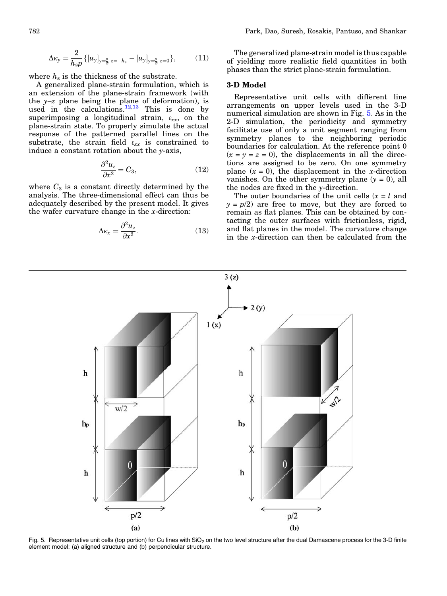$$
\Delta \kappa_{y} = \frac{2}{h_{s} p} \{ [u_{y}]_{y=\frac{p}{2}, z=-h_{s}} - [u_{y}]_{y=\frac{p}{2}, z=0} \},
$$
 (11)

where  $h_s$  is the thickness of the substrate.

A generalized plane-strain formulation, which is an extension of the plane-strain framework (with the  $y-z$  plane being the plane of deformation), is used in the calculations.<sup>[12,13](#page-14-0)</sup> This is done by superimposing a longitudinal strain,  $\varepsilon_{xx}$ , on the plane-strain state. To properly simulate the actual response of the patterned parallel lines on the substrate, the strain field  $\varepsilon_{xx}$  is constrained to induce a constant rotation about the y-axis,

$$
\frac{\partial^2 u_z}{\partial x^2} = C_3,\tag{12}
$$

where  $C_3$  is a constant directly determined by the analysis. The three-dimensional effect can thus be adequately described by the present model. It gives the wafer curvature change in the  $x$ -direction:

$$
\Delta \kappa_x = \frac{\partial^2 u_z}{\partial x^2}.
$$
 (13)

The generalized plane-strain model is thus capable of yielding more realistic field quantities in both phases than the strict plane-strain formulation.

## 3-D Model

Representative unit cells with different line arrangements on upper levels used in the 3-D numerical simulation are shown in Fig. 5. As in the 2-D simulation, the periodicity and symmetry facilitate use of only a unit segment ranging from symmetry planes to the neighboring periodic boundaries for calculation. At the reference point 0  $(x = y = z = 0)$ , the displacements in all the directions are assigned to be zero. On one symmetry plane  $(x = 0)$ , the displacement in the x-direction vanishes. On the other symmetry plane  $(y = 0)$ , all the nodes are fixed in the y-direction.

The outer boundaries of the unit cells  $(x = l$  and  $y = p/2$  are free to move, but they are forced to remain as flat planes. This can be obtained by contacting the outer surfaces with frictionless, rigid, and flat planes in the model. The curvature change in the x-direction can then be calculated from the



Fig. 5. Representative unit cells (top portion) for Cu lines with  $SiO<sub>2</sub>$  on the two level structure after the dual Damascene process for the 3-D finite element model: (a) aligned structure and (b) perpendicular structure.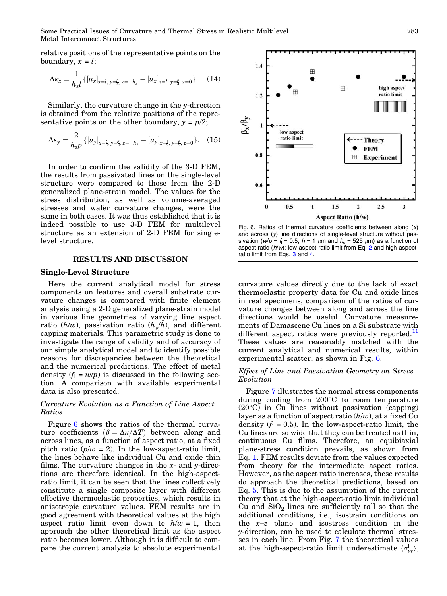<span id="page-6-0"></span>relative positions of the representative points on the boundary,  $x = l$ ;

$$
\Delta \kappa_x = \frac{1}{h_s l} \{ [u_x]_{x=l, y=\frac{p}{4}, z=-h_s} - [u_x]_{x=l, y=\frac{p}{4}, z=0} \}.
$$
 (14)

Similarly, the curvature change in the y-direction is obtained from the relative positions of the representative points on the other boundary,  $y = p/2$ ;

$$
\Delta \kappa_{\mathbf{y}} = \frac{2}{h_{\mathbf{s}} p} \{ [u_{\mathbf{y}}]_{\mathbf{x} = \frac{L}{2}, \mathbf{y} = \frac{p}{2}, \mathbf{z} = -h_{\mathbf{s}}} - [u_{\mathbf{y}}]_{\mathbf{x} = \frac{L}{2}, \mathbf{y} = \frac{p}{2}, \mathbf{z} = 0} \}.
$$
 (15)

In order to confirm the validity of the 3-D FEM, the results from passivated lines on the single-level structure were compared to those from the 2-D generalized plane-strain model. The values for the stress distribution, as well as volume-averaged stresses and wafer curvature changes, were the same in both cases. It was thus established that it is indeed possible to use 3-D FEM for multilevel structure as an extension of 2-D FEM for singlelevel structure.

#### RESULTS AND DISCUSSION

#### Single-Level Structure

Here the current analytical model for stress components on features and overall substrate curvature changes is compared with finite element analysis using a 2-D generalized plane-strain model in various line geometries of varying line aspect ratio  $(h/w)$ , passivation ratio  $(h_p/h)$ , and different capping materials. This parametric study is done to investigate the range of validity and of accuracy of our simple analytical model and to identify possible reasons for discrepancies between the theoretical and the numerical predictions. The effect of metal density  $(f_1 = w/p)$  is discussed in the following section. A comparison with available experimental data is also presented.

# Curvature Evolution as a Function of Line Aspect Ratios

Figure 6 shows the ratios of the thermal curvature coefficients  $\beta = \Delta \kappa / \Delta T$  between along and across lines, as a function of aspect ratio, at a fixed pitch ratio ( $p/w = 2$ ). In the low-aspect-ratio limit, the lines behave like individual Cu and oxide thin films. The curvature changes in the  $x$ - and  $y$ -directions are therefore identical. In the high-aspectratio limit, it can be seen that the lines collectively constitute a single composite layer with different effective thermoelastic properties, which results in anisotropic curvature values. FEM results are in good agreement with theoretical values at the high aspect ratio limit even down to  $h/w = 1$ , then approach the other theoretical limit as the aspect ratio becomes lower. Although it is difficult to compare the current analysis to absolute experimental



Fig. 6. Ratios of thermal curvature coefficients between along  $(x)$ and across  $(y)$  line directions of single-level structure without passivation ( $w/p = f_1 = 0.5$ ,  $h = 1 \mu m$  and  $h_s = 525 \mu m$ ) as a function of aspect ratio  $(h/w)$ ; low-aspect-ratio limit from Eq. 2 and high-aspectratio limit from Eqs. 3 and 4.

curvature values directly due to the lack of exact thermoelastic property data for Cu and oxide lines in real specimens, comparison of the ratios of curvature changes between along and across the line directions would be useful. Curvature measurements of Damascene Cu lines on a Si substrate with different aspect ratios were previously reported. $<sup>11</sup>$  $<sup>11</sup>$  $<sup>11</sup>$ </sup> These values are reasonably matched with the current analytical and numerical results, within experimental scatter, as shown in Fig. 6.

# Effect of Line and Passivation Geometry on Stress Evolution

Figure [7](#page-7-0) illustrates the normal stress components during cooling from 200°C to room temperature (20-C) in Cu lines without passivation (capping) layer as a function of aspect ratio  $(h/w)$ , at a fixed Cu density  $(f_1 = 0.5)$ . In the low-aspect-ratio limit, the Cu lines are so wide that they can be treated as thin, continuous Cu films. Therefore, an equibiaxial plane-stress condition prevails, as shown from Eq. 1. FEM results deviate from the values expected from theory for the intermediate aspect ratios. However, as the aspect ratio increases, these results do approach the theoretical predictions, based on Eq. 5. This is due to the assumption of the current theory that at the high-aspect-ratio limit individual Cu and  $SiO<sub>2</sub>$  lines are sufficiently tall so that the additional conditions, i.e., isostrain conditions on the  $x-z$  plane and isostress condition in the y-direction, can be used to calculate thermal stresses in each line. From Fig. [7](#page-7-0) the theoretical values at the high-aspect-ratio limit underestimate  $\langle \sigma_{yy}^{\parallel} \rangle$ ,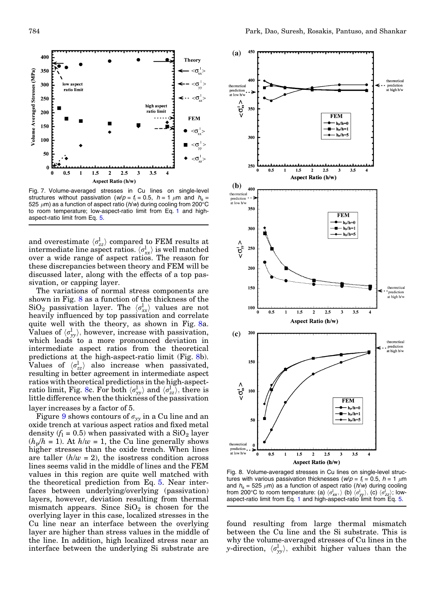<span id="page-7-0"></span>

Fig. 7. Volume-averaged stresses in Cu lines on single-level structures without passivation ( $w/p = f_1 = 0.5$ ,  $h = 1 \mu m$  and  $h_s =$ 525  $\mu$ m) as a function of aspect ratio (*h*/w) during cooling from 200°C to room temperature; low-aspect-ratio limit from Eq. 1 and highaspect-ratio limit from Eq. 5.

and overestimate  $\langle \sigma_{zz}^{\rm l} \rangle$  compared to FEM results at intermediate line aspect ratios.  $\langle \sigma_{xx}^{\rm l} \rangle$  is well matched over a wide range of aspect ratios. The reason for these discrepancies between theory and FEM will be discussed later, along with the effects of a top passivation, or capping layer.

The variations of normal stress components are shown in Fig. 8 as a function of the thickness of the  $\operatorname{SiO}_2$  passivation layer. The  $\langle \sigma_{xx}^{\mathrm{l}} \rangle$  values are not heavily influenced by top passivation and correlate quite well with the theory, as shown in Fig. 8a. Values of  $\langle \sigma_{yy}^{\dagger} \rangle$ , however, increase with passivation, which leads to a more pronounced deviation in intermediate aspect ratios from the theoretical predictions at the high-aspect-ratio limit (Fig. 8b). Values of  $\langle \sigma_{zz}^l \rangle$  also increase when passivated, resulting in better agreement in intermediate aspect ratios with theoretical predictions in the high-aspectratio limit, Fig. 8c. For both  $\langle \sigma_{yy}^{\rm l} \rangle$  and  $\langle \sigma_{zz}^{\rm l} \rangle$ , there is little difference when the thickness of the passivation layer increases by a factor of 5.

Figure [9](#page-8-0) shows contours of  $\sigma_{yy}$  in a Cu line and an oxide trench at various aspect ratios and fixed metal density ( $f_1 = 0.5$ ) when passivated with a SiO<sub>2</sub> layer  $(h_p/h = 1)$ . At  $h/w = 1$ , the Cu line generally shows higher stresses than the oxide trench. When lines are taller  $(h/w = 2)$ , the isostress condition across lines seems valid in the middle of lines and the FEM values in this region are quite well matched with the theoretical prediction from Eq. 5. Near interfaces between underlying/overlying (passivation) layers, however, deviation resulting from thermal mismatch appears. Since  $SiO<sub>2</sub>$  is chosen for the overlying layer in this case, localized stresses in the Cu line near an interface between the overlying layer are higher than stress values in the middle of the line. In addition, high localized stress near an interface between the underlying Si substrate are



Fig. 8. Volume-averaged stresses in Cu lines on single-level structures with various passivation thicknesses ( $w/p = f_1 = 0.5$ ,  $h = 1 \mu m$ and  $h_s = 525 \mu m$ ) as a function of aspect ratio ( $h/w$ ) during cooling from 200°C to room temperature: (a)  $\langle \sigma_{xx}^{\dagger} \rangle$  (b)  $\langle \sigma_{yy}^{\dagger} \rangle$ , (c)  $\langle \sigma_{zz}^{\dagger} \rangle$ ; low-<br>aspect-ratio limit from Eq. 1 and high-aspect-ratio limit from Eq. 5.

found resulting from large thermal mismatch between the Cu line and the Si substrate. This is why the volume-averaged stresses of Cu lines in the y-direction,  $\langle \sigma_{yy}^{\parallel} \rangle$ , exhibit higher values than the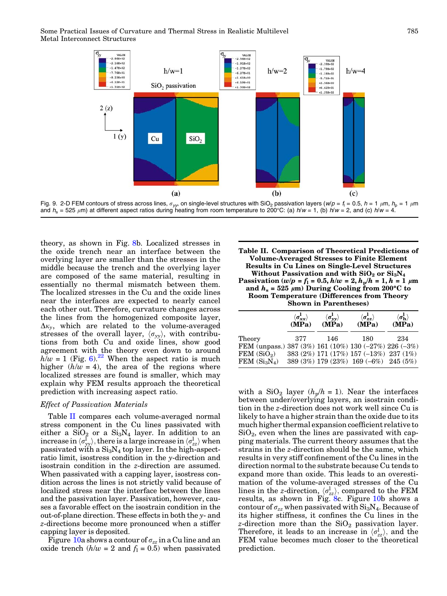<span id="page-8-0"></span>



theory, as shown in Fig. [8](#page-7-0)b. Localized stresses in the oxide trench near an interface between the overlying layer are smaller than the stresses in the middle because the trench and the overlying layer are composed of the same material, resulting in essentially no thermal mismatch between them. The localized stresses in the Cu and the oxide lines near the interfaces are expected to nearly cancel each other out. Therefore, curvature changes across the lines from the homogenized composite layer,  $\Delta \kappa_y$ , which are related to the volume-averaged stresses of the overall layer,  $\langle \sigma_{yy} \rangle$ , with contributions from both Cu and oxide lines, show good agreement with the theory even down to around  $h/w = 1$  (Fig. [6\)](#page-6-0).<sup>[22](#page-14-0)</sup> When the aspect ratio is much higher  $(h/w = 4)$ , the area of the regions where localized stresses are found is smaller, which may explain why FEM results approach the theoretical prediction with increasing aspect ratio.

## Effect of Passivation Materials

Table II compares each volume-averaged normal stress component in the Cu lines passivated with either a  $\text{SiO}_2$  or a  $\text{Si}_3\text{N}_4$  layer. In addition to an increase in  $\langle \sigma_{yx}^{\rm l} \rangle$ , there is a large increase in  $\langle \sigma_{zz}^{\rm l} \rangle$  when passivated with a  $Si<sub>3</sub>N<sub>4</sub>$  top layer. In the high-aspectratio limit, isostress condition in the y-direction and isostrain condition in the z-direction are assumed. When passivated with a capping layer, isostress condition across the lines is not strictly valid because of localized stress near the interface between the lines and the passivation layer. Passivation, however, causes a favorable effect on the isostrain condition in the out-of-plane direction. These effects in both the y- and z-directions become more pronounced when a stiffer capping layer is deposited.

Figure [10a](#page-9-0) shows a contour of  $\sigma_{zz}$  in a Cu line and an oxide trench  $(h/w = 2$  and  $f_1 = 0.5)$  when passivated

|                                                                                                             | $\langle \sigma_{xx}^{\rm l} \rangle$ | $\langle \sigma_{\bf yy}^{\bf l} \rangle$ | $\langle \sigma_{\bm{zz}}^{\bf l} \rangle$                                             | $\langle \sigma_{\bf h}^{\bf l} \rangle$ |
|-------------------------------------------------------------------------------------------------------------|---------------------------------------|-------------------------------------------|----------------------------------------------------------------------------------------|------------------------------------------|
|                                                                                                             | (MPa)                                 | $(M\tilde{P}a)$                           | (MPa)                                                                                  | (MPa)                                    |
| Theory<br>FEM (unpass.) 387 (3%) 161 (10%) 130 (-27%) 226 (-3%)<br>FEM(SiO <sub>2</sub> )<br>$FEM(Si_3N_4)$ | 377                                   | 146                                       | 180<br>383 (2%) 171 (17%) 157 (-13%) 237 (1%)<br>389 (3%) 179 (23%) 169 (-6%) 245 (5%) | 234                                      |

with a SiO<sub>2</sub> layer ( $h_p/h = 1$ ). Near the interfaces between under/overlying layers, an isostrain condition in the z-direction does not work well since Cu is likely to have a higher strain than the oxide due to its much higher thermal expansion coefficient relative to  $SiO<sub>2</sub>$ , even when the lines are passivated with capping materials. The current theory assumes that the strains in the z-direction should be the same, which results in very stiff confinement of the Cu lines in the direction normal to the substrate because Cu tends to expand more than oxide. This leads to an overestimation of the volume-averaged stresses of the Cu lines in the *z*-direction,  $\langle \sigma_{zz}^{\parallel} \rangle$ , compared to the FEM results, as shown in Fig. [8](#page-7-0)c. Figure [10](#page-9-0)b shows a contour of  $\sigma_{zz}$  when passivated with  $\rm Si_3N_4$ . Because of its higher stiffness, it confines the Cu lines in the z-direction more than the  $SiO<sub>2</sub>$  passivation layer. Therefore, it leads to an increase in  $\langle \sigma_{zz}^l \rangle$ , and the FEM value becomes much closer to the theoretical prediction.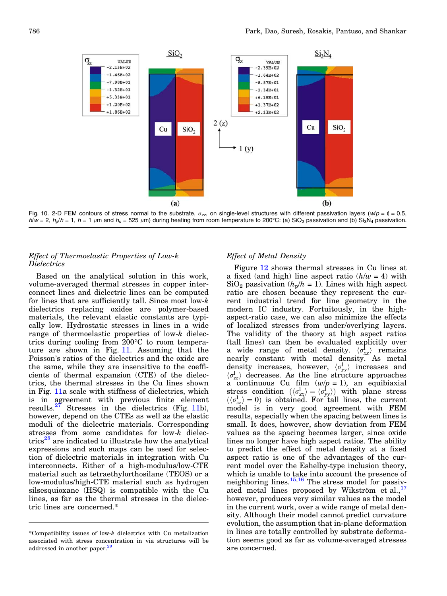<span id="page-9-0"></span>

Fig. 10. 2-D FEM contours of stress normal to the substrate,  $\sigma_{zz}$ , on single-level structures with different passivation layers ( $w/p = f_1 = 0.5$ ,  $h/w = 2$ ,  $h_p/h = 1$ ,  $h = 1$   $\mu$ m and  $h_s = 525$   $\mu$ m) during heating from room temperature to 200°C: (a) SiO<sub>2</sub> passivation and (b) Si<sub>3</sub>N<sub>4</sub> passivation.

# Effect of Thermoelastic Properties of Low-k Dielectrics

Based on the analytical solution in this work, volume-averaged thermal stresses in copper interconnect lines and dielectric lines can be computed for lines that are sufficiently tall. Since most low-k dielectrics replacing oxides are polymer-based materials, the relevant elastic constants are typically low. Hydrostatic stresses in lines in a wide range of thermoelastic properties of low-k dielectrics during cooling from  $200^{\circ}$ C to room temperature are shown in Fig. [11.](#page-10-0) Assuming that the Poisson's ratios of the dielectrics and the oxide are the same, while they are insensitive to the coefficients of thermal expansion (CTE) of the dielectrics, the thermal stresses in the Cu lines shown in Fig. [11](#page-10-0)a scale with stiffness of dielectrics, which is in agreement with previous finite element results. $27$  Stresses in the dielectrics (Fig. [11b](#page-10-0)), however, depend on the CTEs as well as the elastic moduli of the dielectric materials. Corresponding stresses from some candidates for low-k dielec-trics<sup>[28](#page-14-0)</sup> are indicated to illustrate how the analytical expressions and such maps can be used for selection of dielectric materials in integration with Cu interconnects. Either of a high-modulus/low-CTE material such as tetraethylorthosilane (TEOS) or a low-modulus/high-CTE material such as hydrogen silsesquioxane (HSQ) is compatible with the Cu lines, as far as the thermal stresses in the dielectric lines are concerned.\*

# Effect of Metal Density

Figure [12](#page-10-0) shows thermal stresses in Cu lines at a fixed (and high) line aspect ratio  $(h/w = 4)$  with  $SiO<sub>2</sub>$  passivation ( $h<sub>p</sub>/h = 1$ ). Lines with high aspect ratio are chosen because they represent the current industrial trend for line geometry in the modern IC industry. Fortuitously, in the highaspect-ratio case, we can also minimize the effects of localized stresses from under/overlying layers. The validity of the theory at high aspect ratios (tall lines) can then be evaluated explicitly over a wide range of metal density.  $\langle \sigma_{xx}^{\text{I}} \rangle$  remains nearly constant with metal density. As metal density increases, however,  $\langle \sigma_{yy}^{\rm l} \rangle$  increases and  $\langle \sigma_{zz}^l \rangle$  decreases. As the line structure approaches a continuous Cu film  $(w/p = 1)$ , an equibiaxial stress condition  $(\langle \sigma_{xx}^{\parallel} \rangle = \langle \sigma_{yy}^{\parallel} \rangle)$  with plane stress  $(\langle \sigma_{zz}^l \rangle = 0)$  is obtained. For tall lines, the current model is in very good agreement with FEM results, especially when the spacing between lines is small. It does, however, show deviation from FEM values as the spacing becomes larger, since oxide lines no longer have high aspect ratios. The ability to predict the effect of metal density at a fixed aspect ratio is one of the advantages of the current model over the Eshelby-type inclusion theory, which is unable to take into account the presence of neighboring lines. $15,16$  The stress model for passivated metal lines proposed by Wikström  $e^{t}$  al.,  $^{17}$  $^{17}$  $^{17}$ however, produces very similar values as the model in the current work, over a wide range of metal density. Although their model cannot predict curvature evolution, the assumption that in-plane deformation in lines are totally controlled by substrate deformation seems good as far as volume-averaged stresses are concerned.

<sup>\*</sup>Compatibility issues of low-k dielectrics with Cu metalization associated with stress concentration in via structures will be addressed in another paper.<sup>29</sup>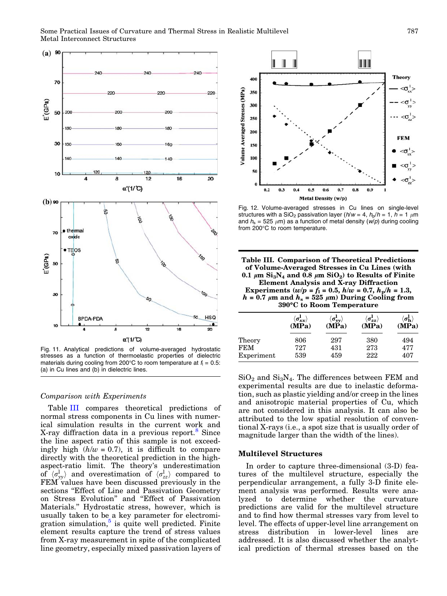<span id="page-10-0"></span>

Fig. 11. Analytical predictions of volume-averaged hydrostatic stresses as a function of thermoelastic properties of dielectric materials during cooling from 200°C to room temperature at  $f_1 = 0.5$ : (a) in Cu lines and (b) in dielectric lines.

#### Comparison with Experiments

Table III compares theoretical predictions of normal stress components in Cu lines with numerical simulation results in the current work and X-ray diffraction data in a previous report.<sup>[8](#page-14-0)</sup> Since the line aspect ratio of this sample is not exceedingly high  $(h/w = 0.7)$ , it is difficult to compare directly with the theoretical prediction in the highaspect-ratio limit. The theory's underestimation of  $\langle \sigma_{yy}^{\rm l} \rangle$  and overestimation of  $\langle \sigma_{zz}^{\rm l} \rangle$  compared to FEM values have been discussed previously in the sections "Effect of Line and Passivation Geometry on Stress Evolution'' and ''Effect of Passivation Materials.'' Hydrostatic stress, however, which is usually taken to be a key parameter for electromigration simulation, $5$  is quite well predicted. Finite element results capture the trend of stress values from X-ray measurement in spite of the complicated line geometry, especially mixed passivation layers of



Fig. 12. Volume-averaged stresses in Cu lines on single-level structures with a SiO<sub>2</sub> passivation layer ( $h/w = 4$ ,  $h_p/h = 1$ ,  $h = 1$   $\mu$ m and  $h_s = 525 \mu m$ ) as a function of metal density (w/p) during cooling from 200°C to room temperature.

Table III. Comparison of Theoretical Predictions of Volume-Averaged Stresses in Cu Lines (with 0.1  $\mu$ m Si<sub>3</sub>N<sub>4</sub> and 0.8  $\mu$ m SiO<sub>2</sub>) to Results of Finite Element Analysis and X-ray Diffraction Experiments (w/p =  $f_1$  = 0.5,  $h/w = 0.7$ ,  $h_p/h = 1.3$ ,  $h = 0.7 \mu m$  and  $h_s = 525 \mu m$ ) During Cooling from 390C to Room Temperature

|            | $\langle \sigma_{xx}^{\rm I} \rangle$ | $\langle \sigma^1_{\nu\nu} \rangle$ | $\langle \sigma_{zz}^{\bf l} \rangle$ | $\langle \sigma_{\bf h}^{\bf l} \rangle$ |
|------------|---------------------------------------|-------------------------------------|---------------------------------------|------------------------------------------|
|            | (MPa)                                 | (MPa)                               | (MPa)                                 | (MPa)                                    |
| Theory     | 806                                   | 297                                 | 380                                   | 494                                      |
| <b>FEM</b> | 727                                   | 431                                 | 273                                   | 477                                      |
| Experiment | 539                                   | 459                                 | 222                                   | 407                                      |

 $SiO<sub>2</sub>$  and  $Si<sub>3</sub>N<sub>4</sub>$ . The differences between FEM and experimental results are due to inelastic deformation, such as plastic yielding and/or creep in the lines and anisotropic material properties of Cu, which are not considered in this analysis. It can also be attributed to the low spatial resolution of conventional X-rays (i.e., a spot size that is usually order of magnitude larger than the width of the lines).

#### Multilevel Structures

In order to capture three-dimensional (3-D) features of the multilevel structure, especially the perpendicular arrangement, a fully 3-D finite element analysis was performed. Results were analyzed to determine whether the curvature predictions are valid for the multilevel structure and to find how thermal stresses vary from level to level. The effects of upper-level line arrangement on stress distribution in lower-level lines are addressed. It is also discussed whether the analytical prediction of thermal stresses based on the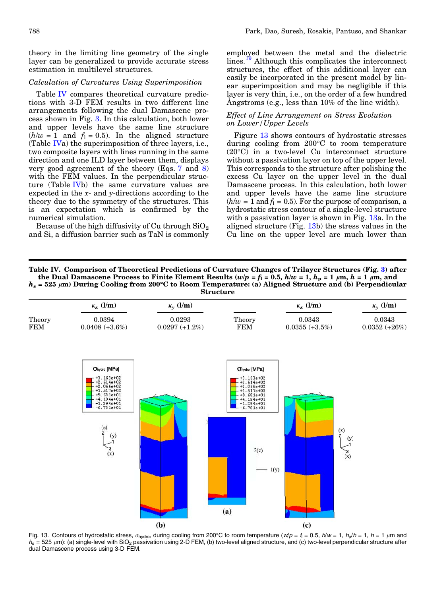<span id="page-11-0"></span>theory in the limiting line geometry of the single layer can be generalized to provide accurate stress estimation in multilevel structures.

## Calculation of Curvatures Using Superimposition

Table IV compares theoretical curvature predictions with 3-D FEM results in two different line arrangements following the dual Damascene process shown in Fig. [3.](#page-3-0) In this calculation, both lower and upper levels have the same line structure  $(h/w = 1$  and  $f_1 = 0.5)$ . In the aligned structure (Table IVa) the superimposition of three layers, i.e., two composite layers with lines running in the same direction and one ILD layer between them, displays very good agreement of the theory (Eqs. 7 and 8) with the FEM values. In the perpendicular structure (Table IVb) the same curvature values are expected in the  $x$ - and  $y$ -directions according to the theory due to the symmetry of the structures. This is an expectation which is confirmed by the numerical simulation.

Because of the high diffusivity of Cu through  $SiO<sub>2</sub>$ and Si, a diffusion barrier such as TaN is commonly

employed between the metal and the dielectric lines.<sup>[19](#page-14-0)</sup> Although this complicates the interconnect structures, the effect of this additional layer can easily be incorporated in the present model by linear superimposition and may be negligible if this layer is very thin, i.e., on the order of a few hundred Angstroms (e.g., less than  $10\%$  of the line width).

# Effect of Line Arrangement on Stress Evolution on Lower/Upper Levels

Figure 13 shows contours of hydrostatic stresses during cooling from 200°C to room temperature (20°C) in a two-level Cu interconnect structure without a passivation layer on top of the upper level. This corresponds to the structure after polishing the excess Cu layer on the upper level in the dual Damascene process. In this calculation, both lower and upper levels have the same line structure  $(h/w = 1$  and  $f_1 = 0.5$ . For the purpose of comparison, a hydrostatic stress contour of a single-level structure with a passivation layer is shown in Fig. 13a. In the aligned structure (Fig. 13b) the stress values in the Cu line on the upper level are much lower than

Table IV. Comparison of Theoretical Predictions of Curvature Changes of Trilayer Structures (Fig. [3\)](#page-3-0) after the Dual Damascene Process to Finite Element Results (w/p =  $f_1$  = 0.5,  $h/w = 1$ ,  $h_p = 1 \mu m$ ,  $h = 1 \mu m$ , and  $h_s = 525 \mu m$ ) During Cooling from 200°C to Room Temperature: (a) Aligned Structure and (b) Perpendicular Structure

|            | $\kappa_r$ (l/m)  | $\kappa_{v}$ (l/m)   |             | $\kappa_{r}$ (l/m) | $\kappa_{\rm v}$ (l/m) |
|------------|-------------------|----------------------|-------------|--------------------|------------------------|
| Theory     | 0.0394            | 0.0293               | Theory      | 0.0343             | 0.0343                 |
| <b>FEM</b> | $0.0408 (+3.6\%)$ | $0.0297~(\pm 1.2\%)$ | ${\rm FEM}$ | $0.0355 (+3.5\%)$  | $0.0352 (+26%)$        |



Fig. 13. Contours of hydrostatic stress,  $\sigma_{\text{hydro}}$ , during cooling from 200°C to room temperature (w/p = f<sub>i</sub> = 0.5, h/w = 1, h<sub>p</sub>/h = 1, h = 1 µm and  $h_s = 525 \mu m$ ): (a) single-level with SiO<sub>2</sub> passivation using 2-D FEM, (b) two-level aligned structure, and (c) two-level perpendicular structure after dual Damascene process using 3-D FEM.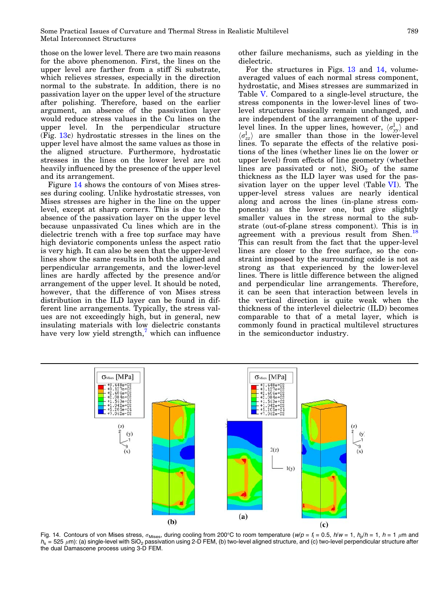those on the lower level. There are two main reasons for the above phenomenon. First, the lines on the upper level are farther from a stiff Si substrate, which relieves stresses, especially in the direction normal to the substrate. In addition, there is no passivation layer on the upper level of the structure after polishing. Therefore, based on the earlier argument, an absence of the passivation layer would reduce stress values in the Cu lines on the upper level. In the perpendicular structure (Fig. [13c](#page-11-0)) hydrostatic stresses in the lines on the upper level have almost the same values as those in the aligned structure. Furthermore, hydrostatic stresses in the lines on the lower level are not heavily influenced by the presence of the upper level and its arrangement.

Figure 14 shows the contours of von Mises stresses during cooling. Unlike hydrostatic stresses, von Mises stresses are higher in the line on the upper level, except at sharp corners. This is due to the absence of the passivation layer on the upper level because unpassivated Cu lines which are in the dielectric trench with a free top surface may have high deviatoric components unless the aspect ratio is very high. It can also be seen that the upper-level lines show the same results in both the aligned and perpendicular arrangements, and the lower-level lines are hardly affected by the presence and/or arrangement of the upper level. It should be noted, however, that the difference of von Mises stress distribution in the ILD layer can be found in different line arrangements. Typically, the stress values are not exceedingly high, but in general, new insulating materials with low dielectric constants have very low yield strength, $^7$  $^7$  which can influence

other failure mechanisms, such as yielding in the dielectric.

For the structures in Figs. [13](#page-11-0) and 14, volumeaveraged values of each normal stress component, hydrostatic, and Mises stresses are summarized in Table [V](#page-13-0). Compared to a single-level structure, the stress components in the lower-level lines of twolevel structures basically remain unchanged, and are independent of the arrangement of the upperlevel lines. In the upper lines, however,  $\langle \sigma_{yy}^{\parallel} \rangle$  and  $\langle \sigma_{zz}^{\dagger} \rangle$  are smaller than those in the lower-level lines. To separate the effects of the relative positions of the lines (whether lines lie on the lower or upper level) from effects of line geometry (whether lines are passivated or not),  $SiO<sub>2</sub>$  of the same thickness as the ILD layer was used for the passivation layer on the upper level (Table [VI\)](#page-13-0). The upper-level stress values are nearly identical along and across the lines (in-plane stress components) as the lower one, but give slightly smaller values in the stress normal to the substrate (out-of-plane stress component). This is in agreement with a previous result from Shen.<sup>[18](#page-14-0)</sup> This can result from the fact that the upper-level lines are closer to the free surface, so the constraint imposed by the surrounding oxide is not as strong as that experienced by the lower-level lines. There is little difference between the aligned and perpendicular line arrangements. Therefore, it can be seen that interaction between levels in the vertical direction is quite weak when the thickness of the interlevel dielectric (ILD) becomes comparable to that of a metal layer, which is commonly found in practical multilevel structures in the semiconductor industry.



Fig. 14. Contours of von Mises stress,  $\sigma_{\text{Mises}}$ , during cooling from 200°C to room temperature (w/p = f<sub>i</sub> = 0.5, h/w = 1, h<sub>p</sub>/h = 1, h = 1 µm and  $h_s = 525 \mu m$ ): (a) single-level with SiO<sub>2</sub> passivation using 2-D FEM, (b) two-level aligned structure, and (c) two-level perpendicular structure after the dual Damascene process using 3-D FEM.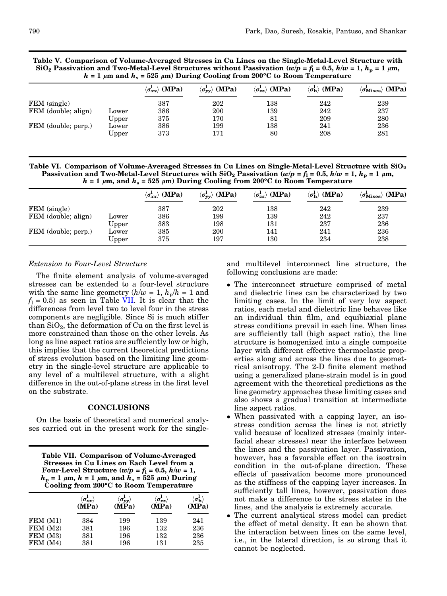<span id="page-13-0"></span>Table V. Comparison of Volume-Averaged Stresses in Cu Lines on the Single-Metal-Level Structure with SiO<sub>2</sub> Passivation and Two-Metal-Level Structures without Passivation (w/p = f<sub>l</sub> = 0.5, h/w = 1, h<sub>p</sub> = 1  $\mu$ m,  $h = 1 \mu m$  and  $h_s = 525 \mu m$ ) During Cooling from 200°C to Room Temperature

|                     |       | (MPa)<br>$\langle \sigma_{xx}^{\bf l} \rangle$ | $\langle \sigma_{yy}^{\rm l} \rangle$ (MPa) | $\langle \sigma_{zz}^{\rm l} \rangle$ (MPa) | $\langle \sigma_{\bf h}^{\bf l} \rangle$ (MPa) | $\langle \sigma_{\text{Mises}}^{\text{I}} \rangle$ (MPa) |
|---------------------|-------|------------------------------------------------|---------------------------------------------|---------------------------------------------|------------------------------------------------|----------------------------------------------------------|
| FEM (single)        |       | 387                                            | 202                                         | 138                                         | 242                                            | 239                                                      |
| FEM (double; align) | Lower | 386                                            | 200                                         | 139                                         | 242                                            | 237                                                      |
|                     | Upper | 375                                            | 170                                         | 81                                          | 209                                            | 280                                                      |
| FEM (double; perp.) | Lower | 386                                            | 199                                         | 138                                         | 241                                            | 236                                                      |
|                     | Upper | 373                                            | 171                                         | 80                                          | 208                                            | 281                                                      |

Table VI. Comparison of Volume-Averaged Stresses in Cu Lines on Single-Metal-Level Structure with  $\rm SiO_2$ Passivation and Two-Metal-Level Structures with  $SiO_2$  Passivation (w/p = f<sub>1</sub> = 0.5, h/w = 1, h<sub>p</sub> = 1  $\mu$ m,  $h = 1 \mu m$ , and  $h_s = 525 \mu m$ ) During Cooling from 200°C to Room Temperature

|                     |       | (MPa)<br>$\langle \sigma_{xx}^{\bf l} \rangle$ | $\angle$ (MPa)<br>$\langle \sigma_{\nu\nu}^{\bf L} \rangle$ | $\langle \sigma_{zz}^I \rangle$ (MPa) | $\langle \sigma_{\bf h}^{\bf l} \rangle$ (MPa) | (MPa)<br>$\langle \sigma_{\mathrm{Mises}} \rangle$ |
|---------------------|-------|------------------------------------------------|-------------------------------------------------------------|---------------------------------------|------------------------------------------------|----------------------------------------------------|
| FEM (single)        |       | 387                                            | 202                                                         | 138                                   | 242                                            | 239                                                |
| FEM (double; align) | Lower | 386                                            | 199                                                         | 139                                   | 242                                            | 237                                                |
|                     | Upper | 383                                            | 198                                                         | 131                                   | 237                                            | 236                                                |
| FEM (double; perp.) | Lower | 385                                            | 200                                                         | 141                                   | 241                                            | 236                                                |
|                     | Upper | 375                                            | 197                                                         | 130                                   | 234                                            | 238                                                |

#### Extension to Four-Level Structure

The finite element analysis of volume-averaged stresses can be extended to a four-level structure with the same line geometry  $(h/w = 1, h_p/h = 1$  and  $f_1 = 0.5$ ) as seen in Table VII. It is clear that the differences from level two to level four in the stress components are negligible. Since Si is much stiffer than  $SiO<sub>2</sub>$ , the deformation of Cu on the first level is more constrained than those on the other levels. As long as line aspect ratios are sufficiently low or high, this implies that the current theoretical predictions of stress evolution based on the limiting line geometry in the single-level structure are applicable to any level of a multilevel structure, with a slight difference in the out-of-plane stress in the first level on the substrate.

#### CONCLUSIONS

On the basis of theoretical and numerical analyses carried out in the present work for the single-

| <b>Table VII. Comparison of Volume-Averaged</b><br>Stresses in Cu Lines on Each Level from a                                                |
|---------------------------------------------------------------------------------------------------------------------------------------------|
| Four-Level Structure $(w/p = f_1 = 0.5, h/w = 1,$                                                                                           |
| $h_{\rm p} = 1 \mu \text{m}$ , $h = 1 \mu \text{m}$ , and $h_{\rm s} = 525 \mu \text{m}$ ) During<br>Cooling from 200°C to Room Temperature |

|         | $\langle \sigma_{xx}^{\bf l} \rangle$ | $\langle \sigma_{yy}^{\bf l} \rangle$ | $\langle \sigma_{\bm{zz}}^{\bf l} \rangle$ | $\langle \sigma_{\bf h}^{\bf l} \rangle$ |
|---------|---------------------------------------|---------------------------------------|--------------------------------------------|------------------------------------------|
|         | (MPa)                                 | $(M\ddot{P}a)$                        | (MPa)                                      | (MPa)                                    |
| FEM(M1) | 384                                   | 199                                   | 139                                        | 241                                      |
| FEM(M2) | 381                                   | 196                                   | 132                                        | 236                                      |
| FEM(M3) | 381                                   | 196                                   | 132                                        | 236                                      |
| FEM(M4) | 381                                   | 196                                   | 131                                        | 235                                      |

and multilevel interconnect line structure, the following conclusions are made:

- The interconnect structure comprised of metal and dielectric lines can be characterized by two limiting cases. In the limit of very low aspect ratios, each metal and dielectric line behaves like an individual thin film, and equibiaxial plane stress conditions prevail in each line. When lines are sufficiently tall (high aspect ratio), the line structure is homogenized into a single composite layer with different effective thermoelastic properties along and across the lines due to geometrical anisotropy. The 2-D finite element method using a generalized plane-strain model is in good agreement with the theoretical predictions as the line geometry approaches these limiting cases and also shows a gradual transition at intermediate line aspect ratios.
- When passivated with a capping layer, an isostress condition across the lines is not strictly valid because of localized stresses (mainly interfacial shear stresses) near the interface between the lines and the passivation layer. Passivation, however, has a favorable effect on the isostrain condition in the out-of-plane direction. These effects of passivation become more pronounced as the stiffness of the capping layer increases. In sufficiently tall lines, however, passivation does not make a difference to the stress states in the lines, and the analysis is extremely accurate.
- The current analytical stress model can predict the effect of metal density. It can be shown that the interaction between lines on the same level, i.e., in the lateral direction, is so strong that it cannot be neglected.